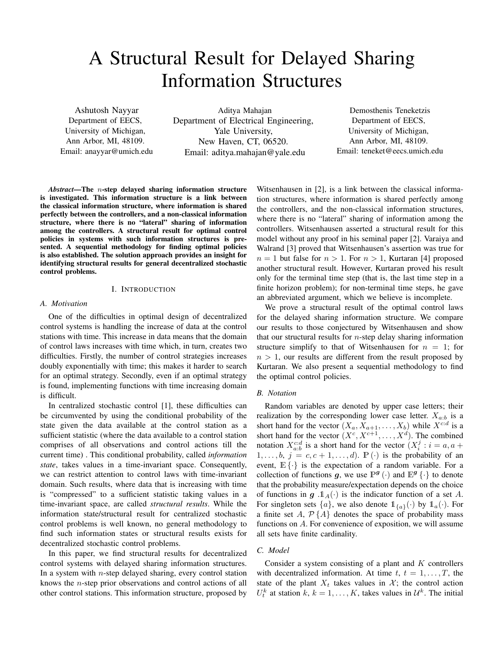# A Structural Result for Delayed Sharing Information Structures

Ashutosh Nayyar Department of EECS, University of Michigan, Ann Arbor, MI, 48109. Email: anayyar@umich.edu

Aditya Mahajan Department of Electrical Engineering, Yale University, New Haven, CT, 06520. Email: aditya.mahajan@yale.edu

Demosthenis Teneketzis Department of EECS, University of Michigan, Ann Arbor, MI, 48109. Email: teneket@eecs.umich.edu

*Abstract*—The n-step delayed sharing information structure is investigated. This information structure is a link between the classical information structure, where information is shared perfectly between the controllers, and a non-classical information structure, where there is no "lateral" sharing of information among the controllers. A structural result for optimal control policies in systems with such information structures is presented. A sequential methodology for finding optimal policies is also established. The solution approach provides an insight for identifying structural results for general decentralized stochastic control problems.

## I. INTRODUCTION

#### *A. Motivation*

One of the difficulties in optimal design of decentralized control systems is handling the increase of data at the control stations with time. This increase in data means that the domain of control laws increases with time which, in turn, creates two difficulties. Firstly, the number of control strategies increases doubly exponentially with time; this makes it harder to search for an optimal strategy. Secondly, even if an optimal strategy is found, implementing functions with time increasing domain is difficult.

In centralized stochastic control [1], these difficulties can be circumvented by using the conditional probability of the state given the data available at the control station as a sufficient statistic (where the data available to a control station comprises of all observations and control actions till the current time) . This conditional probability, called *information state*, takes values in a time-invariant space. Consequently, we can restrict attention to control laws with time-invariant domain. Such results, where data that is increasing with time is "compressed" to a sufficient statistic taking values in a time-invariant space, are called *structural results*. While the information state/structural result for centralized stochastic control problems is well known, no general methodology to find such information states or structural results exists for decentralized stochastic control problems.

In this paper, we find structural results for decentralized control systems with delayed sharing information structures. In a system with *n*-step delayed sharing, every control station knows the  $n$ -step prior observations and control actions of all other control stations. This information structure, proposed by

Witsenhausen in [2], is a link between the classical information structures, where information is shared perfectly among the controllers, and the non-classical information structures, where there is no "lateral" sharing of information among the controllers. Witsenhausen asserted a structural result for this model without any proof in his seminal paper [2]. Varaiya and Walrand [3] proved that Witsenhausen's assertion was true for  $n = 1$  but false for  $n > 1$ . For  $n > 1$ , Kurtaran [4] proposed another structural result. However, Kurtaran proved his result only for the terminal time step (that is, the last time step in a finite horizon problem); for non-terminal time steps, he gave an abbreviated argument, which we believe is incomplete.

We prove a structural result of the optimal control laws for the delayed sharing information structure. We compare our results to those conjectured by Witsenhausen and show that our structural results for  $n$ -step delay sharing information structure simplify to that of Witsenhausen for  $n = 1$ ; for  $n > 1$ , our results are different from the result proposed by Kurtaran. We also present a sequential methodology to find the optimal control policies.

## *B. Notation*

Random variables are denoted by upper case letters; their realization by the corresponding lower case letter.  $X_{a:b}$  is a short hand for the vector  $(X_a, X_{a+1},..., X_b)$  while  $X^{c:d}$  is a short hand for the vector  $(X^c, X^{c+1}, \ldots, X^d)$ . The combined notation  $X_{a:b}^{c:d}$  is a short hand for the vector  $(X_i^j : i = a, a + a)$  $1, \ldots, b, j = c, c + 1, \ldots, d$ .  $\mathbb{P}(\cdot)$  is the probability of an event,  $E\{\cdot\}$  is the expectation of a random variable. For a collection of functions g, we use  $\mathbb{P}^g(\cdot)$  and  $\mathbb{E}^g\{\cdot\}$  to denote that the probability measure/expectation depends on the choice of functions in g  $\mathcal{A}_A(\cdot)$  is the indicator function of a set A. For singleton sets  $\{a\}$ , we also denote  $\mathbb{1}_{\{a\}}(\cdot)$  by  $\mathbb{1}_a(\cdot)$ . For a finite set A,  $P\{A\}$  denotes the space of probability mass functions on A. For convenience of exposition, we will assume all sets have finite cardinality.

## *C. Model*

Consider a system consisting of a plant and  $K$  controllers with decentralized information. At time  $t, t = 1, \ldots, T$ , the state of the plant  $X_t$  takes values in  $X$ ; the control action  $U_t^k$  at station  $k, k = 1, ..., K$ , takes values in  $\mathcal{U}^k$ . The initial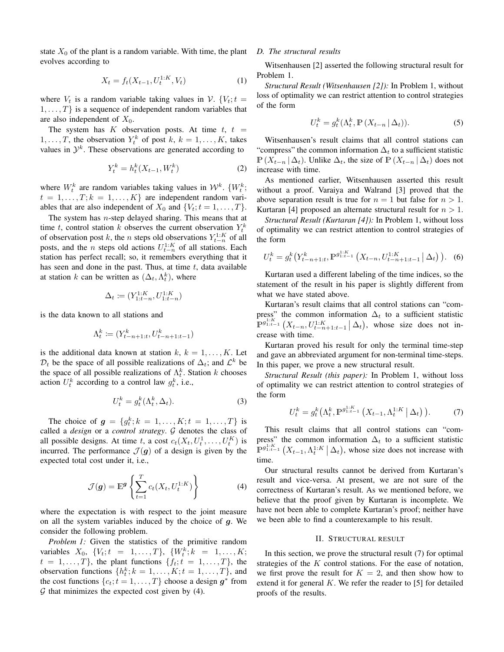state  $X_0$  of the plant is a random variable. With time, the plant evolves according to

$$
X_t = f_t(X_{t-1}, U_t^{1:K}, V_t)
$$
 (1)

where  $V_t$  is a random variable taking values in V. { $V_t$ ;  $t =$  $1, \ldots, T$  is a sequence of independent random variables that are also independent of  $X_0$ .

The system has K observation posts. At time  $t, t =$  $1, \ldots, T$ , the observation  $Y_t^k$  of post  $k, k = 1, \ldots, K$ , takes values in  $\mathcal{Y}^k$ . These observations are generated according to

$$
Y_t^k = h_t^k(X_{t-1}, W_t^k)
$$
 (2)

where  $W_t^k$  are random variables taking values in  $\mathcal{W}^k$ .  $\{W_t^k\}$ ;  $t = 1, \ldots, T; k = 1, \ldots, K$  are independent random variables that are also independent of  $X_0$  and  $\{V_t; t = 1, \ldots, T\}$ .

The system has  $n$ -step delayed sharing. This means that at time t, control station k observes the current observation  $Y_t^k$ of observation post k, the n steps old observations  $Y_{t-n}^{1:K}$  of all posts, and the *n* steps old actions  $U_{t-n}^{1:K}$  of all stations. Each station has perfect recall; so, it remembers everything that it has seen and done in the past. Thus, at time  $t$ , data available at station k can be written as  $(\Delta_t, \Lambda_t^k)$ , where

$$
\Delta_t \coloneqq (Y_{1:t-n}^{1:K}, U_{1:t-n}^{1:K})
$$

is the data known to all stations and

$$
\Lambda_t^k \coloneqq (Y_{t-n+1:t}^k, U_{t-n+1:t-1}^k)
$$

is the additional data known at station  $k, k = 1, \ldots, K$ . Let  $\mathcal{D}_t$  be the space of all possible realizations of  $\Delta_t$ ; and  $\mathcal{L}^k$  be the space of all possible realizations of  $\Lambda_t^k$ . Station k chooses action  $U_t^k$  according to a control law  $g_t^k$ , i.e.,

$$
U_t^k = g_t^k(\Lambda_t^k, \Delta_t). \tag{3}
$$

The choice of  $g = \{g_t^k; k = 1, ..., K; t = 1, ..., T\}$  is called a *design* or a *control strategy*. G denotes the class of all possible designs. At time t, a cost  $c_t(X_t, U_t^1, \dots, U_t^K)$  is incurred. The performance  $\mathcal{J}(\boldsymbol{q})$  of a design is given by the expected total cost under it, i.e.,

$$
\mathcal{J}(\boldsymbol{g}) = \mathbb{E}^{\boldsymbol{g}} \left\{ \sum_{t=1}^{T} c_t(X_t, U_t^{1:K}) \right\}
$$
 (4)

where the expectation is with respect to the joint measure on all the system variables induced by the choice of  $q$ . We consider the following problem.

*Problem 1:* Given the statistics of the primitive random variables  $X_0, \{V_t; t = 1, ..., T\}, \{W_t^k; k = 1, ..., K;$  $t = 1, \ldots, T$ , the plant functions  $\{f_t; t = 1, \ldots, T\}$ , the observation functions  $\{h_t^k; k = 1, \ldots, K; t = 1, \ldots, T\}$ , and the cost functions  $\{c_t; t = 1, \ldots, T\}$  choose a design  $g^*$  from  $G$  that minimizes the expected cost given by (4).

## *D. The structural results*

Witsenhausen [2] asserted the following structural result for Problem 1.

*Structural Result (Witsenhausen [2]):* In Problem 1, without loss of optimality we can restrict attention to control strategies of the form

$$
U_t^k = g_t^k(\Lambda_t^k, \mathbb{P}\left(X_{t-n} \mid \Delta_t\right)).\tag{5}
$$

Witsenhausen's result claims that all control stations can "compress" the common information  $\Delta_t$  to a sufficient statistic  $\mathbb{P}(X_{t-n} | \Delta_t)$ . Unlike  $\Delta_t$ , the size of  $\mathbb{P}(X_{t-n} | \Delta_t)$  does not increase with time.

As mentioned earlier, Witsenhausen asserted this result without a proof. Varaiya and Walrand [3] proved that the above separation result is true for  $n = 1$  but false for  $n > 1$ . Kurtaran [4] proposed an alternate structural result for  $n > 1$ .

*Structural Result (Kurtaran [4]):* In Problem 1, without loss of optimality we can restrict attention to control strategies of the form

$$
U_t^k = g_t^k \left( Y_{t-n+1:t}^k, \mathbb{P}^{g_{1:t-1}^{1:K}} \left( X_{t-n}, U_{t-n+1:t-1}^{1:K} \, \middle| \, \Delta_t \right) \right). \tag{6}
$$

Kurtaran used a different labeling of the time indices, so the statement of the result in his paper is slightly different from what we have stated above.

Kurtaran's result claims that all control stations can "compress" the common information  $\Delta_t$  to a sufficient statistic  $\mathbb{P}^{g_{1:t-1}^{1:K}}\left(X_{t-n}, U_{t-n+1:t-1}^{1:K} \mid \Delta_t\right)$ , whose size does not increase with time.

Kurtaran proved his result for only the terminal time-step and gave an abbreviated argument for non-terminal time-steps. In this paper, we prove a new structural result.

*Structural Result (this paper):* In Problem 1, without loss of optimality we can restrict attention to control strategies of the form

$$
U_t^k = g_t^k(\Lambda_t^k, \mathbb{P}^{g_{1:t-1}^{1:K}}\left(X_{t-1}, \Lambda_t^{1:K} \mid \Delta_t\right)).
$$
 (7)

This result claims that all control stations can "compress" the common information  $\Delta_t$  to a sufficient statistic  $\mathbb{P}^{g_{1:K-1}^{1:K}}\left(X_{t-1},\Lambda_t^{1:K} \mid \Delta_t\right)$ , whose size does not increase with time.

Our structural results cannot be derived from Kurtaran's result and vice-versa. At present, we are not sure of the correctness of Kurtaran's result. As we mentioned before, we believe that the proof given by Kurtaran is incomplete. We have not been able to complete Kurtaran's proof; neither have we been able to find a counterexample to his result.

## II. STRUCTURAL RESULT

In this section, we prove the structural result (7) for optimal strategies of the  $K$  control stations. For the ease of notation, we first prove the result for  $K = 2$ , and then show how to extend it for general  $K$ . We refer the reader to [5] for detailed proofs of the results.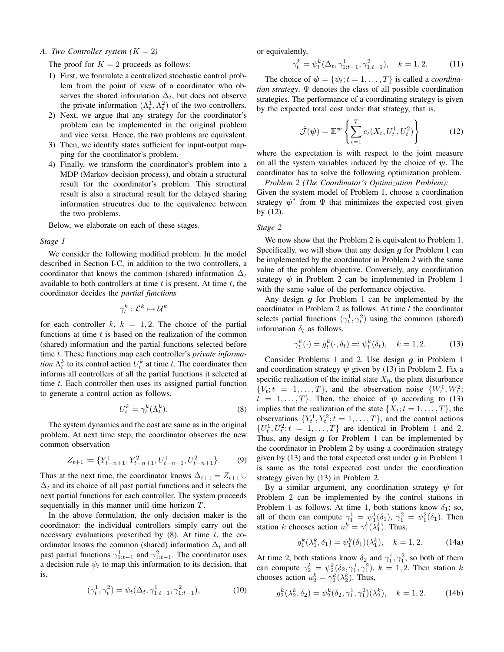## *A. Two Controller system*  $(K = 2)$

The proof for  $K = 2$  proceeds as follows:

- 1) First, we formulate a centralized stochastic control problem from the point of view of a coordinator who observes the shared information  $\Delta_t$ , but does not observe the private information  $(\Lambda_t^1, \Lambda_t^2)$  of the two controllers.
- 2) Next, we argue that any strategy for the coordinator's problem can be implemented in the original problem and vice versa. Hence, the two problems are equivalent.
- 3) Then, we identify states sufficient for input-output mapping for the coordinator's problem.
- 4) Finally, we transform the coordinator's problem into a MDP (Markov decision process), and obtain a structural result for the coordinator's problem. This structural result is also a structural result for the delayed sharing information strucutres due to the equivalence between the two problems.

Below, we elaborate on each of these stages.

#### *Stage 1*

We consider the following modified problem. In the model described in Section I-C, in addition to the two controllers, a coordinator that knows the common (shared) information  $\Delta_t$ available to both controllers at time  $t$  is present. At time  $t$ , the coordinator decides the *partial functions*

$$
\gamma_t^k: \mathcal{L}^k \mapsto \mathcal{U}^k
$$

for each controller  $k, k = 1, 2$ . The choice of the partial functions at time  $t$  is based on the realization of the common (shared) information and the partial functions selected before time t. These functions map each controller's *private information*  $\Lambda_t^k$  to its control action  $U_t^k$  at time t. The coordinator then informs all controllers of all the partial functions it selected at time  $t$ . Each controller then uses its assigned partial function to generate a control action as follows.

$$
U_t^k = \gamma_t^k(\Lambda_t^k). \tag{8}
$$

The system dynamics and the cost are same as in the original problem. At next time step, the coordinator observes the new common observation

$$
Z_{t+1} := \{Y_{t-n+1}^1, Y_{t-n+1}^2, U_{t-n+1}^1, U_{t-n+1}^2\}.
$$
 (9)

Thus at the next time, the coordinator knows  $\Delta_{t+1} = Z_{t+1} \cup$  $\Delta_t$  and its choice of all past partial functions and it selects the next partial functions for each controller. The system proceeds sequentially in this manner until time horizon T.

In the above formulation, the only decision maker is the coordinator: the individual controllers simply carry out the necessary evaluations prescribed by  $(8)$ . At time t, the coordinator knows the common (shared) information  $\Delta_t$  and all past partial functions  $\gamma_{1:t-1}^1$  and  $\gamma_{1:t-1}^2$ . The coordinator uses a decision rule  $\psi_t$  to map this information to its decision, that is,

$$
(\gamma_t^1, \gamma_t^2) = \psi_t(\Delta_t, \gamma_{1:t-1}^1, \gamma_{1:t-1}^2), \tag{10}
$$

or equivalently,

$$
\gamma_t^k = \psi_t^k(\Delta_t, \gamma_{1:t-1}^1, \gamma_{1:t-1}^2), \quad k = 1, 2. \tag{11}
$$

The choice of  $\psi = {\psi_t; t = 1, ..., T}$  is called a *coordination strategy*. Ψ denotes the class of all possible coordination strategies. The performance of a coordinating strategy is given by the expected total cost under that strategy, that is,

$$
\hat{\mathcal{J}}(\psi) = \mathbb{E}^{\psi} \left\{ \sum_{t=1}^{T} c_t(X_t, U_t^1, U_t^2) \right\}
$$
(12)

where the expectation is with respect to the joint measure on all the system variables induced by the choice of  $\psi$ . The coordinator has to solve the following optimization problem.

*Problem 2 (The Coordinator's Optimization Problem):* Given the system model of Problem 1, choose a coordination strategy  $\psi^*$  from  $\Psi$  that minimizes the expected cost given by (12).

#### *Stage 2*

We now show that the Problem 2 is equivalent to Problem 1. Specifically, we will show that any design  $q$  for Problem 1 can be implemented by the coordinator in Problem 2 with the same value of the problem objective. Conversely, any coordination strategy  $\psi$  in Problem 2 can be implemented in Problem 1 with the same value of the performance objective.

Any design  $g$  for Problem 1 can be implemented by the coordinator in Problem 2 as follows. At time  $t$  the coordinator selects partial functions  $(\gamma_t^1, \gamma_t^2)$  using the common (shared) information  $\delta_t$  as follows.

$$
\gamma_t^k(\cdot) = g_t^k(\cdot, \delta_t) =: \psi_t^k(\delta_t), \quad k = 1, 2. \tag{13}
$$

Consider Problems 1 and 2. Use design  $g$  in Problem 1 and coordination strategy  $\psi$  given by (13) in Problem 2. Fix a specific realization of the initial state  $X_0$ , the plant disturbance  $\{V_t; t = 1, \ldots, T\}$ , and the observation noise  $\{W_t^1, W_t^2\}$  $t = 1, \ldots, T$ . Then, the choice of  $\psi$  according to (13) implies that the realization of the state  $\{X_t; t = 1, \ldots, T\}$ , the observations  $\{Y_t^1, Y_t^2; t = 1, \ldots, T\}$ , and the control actions  $\{U_t^1, U_t^2; t = 1, \ldots, T\}$  are identical in Problem 1 and 2. Thus, any design  $g$  for Problem 1 can be implemented by the coordinator in Problem 2 by using a coordination strategy given by  $(13)$  and the total expected cost under g in Problem 1 is same as the total expected cost under the coordination strategy given by (13) in Problem 2.

By a similar argument, any coordination strategy  $\psi$  for Problem 2 can be implemented by the control stations in Problem 1 as follows. At time 1, both stations know  $\delta_1$ ; so, all of them can compute  $\gamma_1^1 = \psi_1^1(\delta_1)$ ,  $\gamma_1^2 = \psi_1^2(\delta_1)$ . Then station k chooses action  $u_1^k = \gamma_1^k(\lambda_1^k)$ . Thus,

$$
g_1^k(\lambda_1^k, \delta_1) = \psi_1^k(\delta_1)(\lambda_1^k), \quad k = 1, 2. \tag{14a}
$$

At time 2, both stations know  $\delta_2$  and  $\gamma_1^1, \gamma_1^2$ , so both of them can compute  $\gamma_2^k = \psi_2^k(\delta_2, \gamma_1^1, \gamma_1^2)$ ,  $k = 1, 2$ . Then station k chooses action  $u_2^k = \gamma_2^k(\lambda_2^k)$ . Thus,

$$
g_2^k(\lambda_2^k, \delta_2) = \psi_2^k(\delta_2, \gamma_1^1, \gamma_1^2)(\lambda_2^k), \quad k = 1, 2. \tag{14b}
$$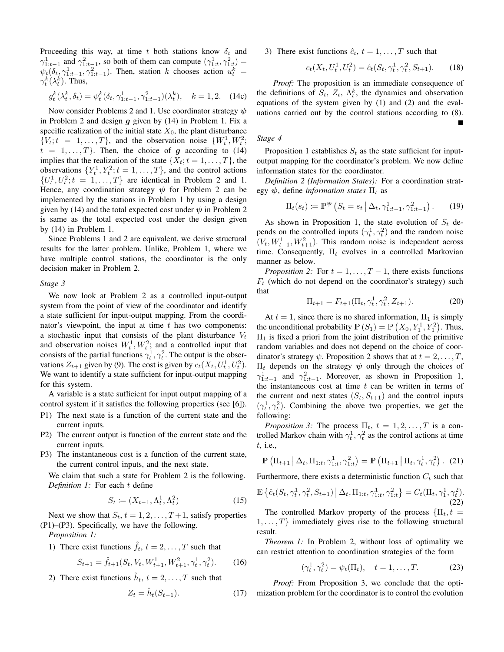Proceeding this way, at time t both stations know  $\delta_t$  and  $\gamma_{1:t-1}^1$  and  $\gamma_{1:t-1}^2$ , so both of them can compute  $(\gamma_{1:t}^1, \gamma_{1:t}^2)$  =  $\psi_t(\delta_t, \gamma_{1:t-1}^1, \gamma_{1:t-1}^2)$ . Then, station k chooses action  $u_t^k$  =  $\gamma_t^k(\lambda_t^k)$ . Thus,

$$
g_t^k(\lambda_t^k, \delta_t) = \psi_t^k(\delta_t, \gamma_{1:t-1}^1, \gamma_{1:t-1}^2)(\lambda_t^k), \quad k = 1, 2. \quad (14c)
$$

Now consider Problems 2 and 1. Use coordinator strategy  $\psi$ in Problem 2 and design  $g$  given by (14) in Problem 1. Fix a specific realization of the initial state  $X_0$ , the plant disturbance  $\{V_t; t = 1, \ldots, T\}$ , and the observation noise  $\{W_t^1, W_t^2\}$  $t = 1, \ldots, T$ . Then, the choice of g according to (14) implies that the realization of the state  $\{X_t; t = 1, \ldots, T\}$ , the observations  $\{Y_t^1, Y_t^2; t = 1, \ldots, T\}$ , and the control actions  $\{U_t^1, U_t^2; t = 1, \ldots, T\}$  are identical in Problem 2 and 1. Hence, any coordination strategy  $\psi$  for Problem 2 can be implemented by the stations in Problem 1 by using a design given by (14) and the total expected cost under  $\psi$  in Problem 2 is same as the total expected cost under the design given by (14) in Problem 1.

Since Problems 1 and 2 are equivalent, we derive structural results for the latter problem. Unlike, Problem 1, where we have multiple control stations, the coordinator is the only decision maker in Problem 2.

#### *Stage 3*

We now look at Problem 2 as a controlled input-output system from the point of view of the coordinator and identify a state sufficient for input-output mapping. From the coordinator's viewpoint, the input at time  $t$  has two components: a stochastic input that consists of the plant disturbance  $V_t$ and observation noises  $W_t^1, W_t^2$ ; and a controlled input that consists of the partial functions  $\gamma_t^1, \gamma_t^2$ . The output is the observations  $Z_{t+1}$  given by (9). The cost is given by  $c_t(X_t, U_t^1, U_t^2)$ . We want to identify a state sufficient for input-output mapping for this system.

A variable is a state sufficient for input output mapping of a control system if it satisfies the following properties (see [6]).

- P1) The next state is a function of the current state and the current inputs.
- P2) The current output is function of the current state and the current inputs.
- P3) The instantaneous cost is a function of the current state, the current control inputs, and the next state.

We claim that such a state for Problem 2 is the following. *Definition 1:* For each t define

$$
S_t := (X_{t-1}, \Lambda_t^1, \Lambda_t^2) \tag{15}
$$

Next we show that  $S_t$ ,  $t = 1, 2, \ldots, T+1$ , satisfy properties (P1)–(P3). Specifically, we have the following.

*Proposition 1:*

1) There exist functions 
$$
\hat{f}_t
$$
,  $t = 2, ..., T$  such that

$$
S_{t+1} = \hat{f}_{t+1}(S_t, V_t, W_{t+1}^1, W_{t+1}^2, \gamma_t^1, \gamma_t^2). \tag{16}
$$

2) There exist functions  $\hat{h}_t$ ,  $t = 2, \dots, T$  such that

$$
Z_t = \hat{h}_t(S_{t-1}).\tag{17}
$$

3) There exist functions  $\hat{c}_t$ ,  $t = 1, \ldots, T$  such that

$$
c_t(X_t, U_t^1, U_t^2) = \hat{c}_t(S_t, \gamma_t^1, \gamma_t^2, S_{t+1}).
$$
 (18)

*Proof:* The proposition is an immediate consequence of the definitions of  $S_t$ ,  $Z_t$ ,  $\Lambda_t^k$ , the dynamics and observation equations of the system given by (1) and (2) and the evaluations carried out by the control stations according to (8).

## *Stage 4*

Proposition 1 establishes  $S_t$  as the state sufficient for inputoutput mapping for the coordinator's problem. We now define information states for the coordinator.

*Definition 2 (Information States):* For a coordination strategy  $\psi$ , define *information states*  $\Pi_t$  as

$$
\Pi_t(s_t) \coloneqq \mathbb{P}^{\Psi}\left(S_t = s_t \, \big| \, \Delta_t, \gamma_{1:t-1}^1, \gamma_{1:t-1}^2\right). \tag{19}
$$

As shown in Proposition 1, the state evolution of  $S_t$  depends on the controlled inputs  $(\gamma_t^1, \gamma_t^2)$  and the random noise  $(V_t, W_{t+1}^1, W_{t+1}^2)$ . This random noise is independent across time. Consequently,  $\Pi_t$  evolves in a controlled Markovian manner as below.

*Proposition 2:* For  $t = 1, \ldots, T-1$ , there exists functions  $F_t$  (which do not depend on the coordinator's strategy) such that

$$
\Pi_{t+1} = F_{t+1}(\Pi_t, \gamma_t^1, \gamma_t^2, Z_{t+1}).
$$
\n(20)

At  $t = 1$ , since there is no shared information,  $\Pi_1$  is simply the unconditional probability  $\mathbb{P}(S_1) = \mathbb{P}(X_0, Y_1^1, Y_1^2)$ . Thus,  $\Pi_1$  is fixed a priori from the joint distribution of the primitive random variables and does not depend on the choice of coordinator's strategy  $\psi$ . Proposition 2 shows that at  $t = 2, \ldots, T$ ,  $\Pi_t$  depends on the strategy  $\psi$  only through the choices of  $\gamma_{1:t-1}^1$  and  $\gamma_{1:t-1}^2$ . Moreover, as shown in Proposition 1, the instantaneous cost at time  $t$  can be written in terms of the current and next states  $(S_t, S_{t+1})$  and the control inputs  $(\gamma_t^1, \gamma_t^2)$ . Combining the above two properties, we get the following:

*Proposition 3:* The process  $\Pi_t$ ,  $t = 1, 2, \ldots, T$  is a controlled Markov chain with  $\gamma_t^1, \gamma_t^2$  as the control actions at time t, i.e.,

$$
\mathbb{P}\left(\Pi_{t+1} \,|\, \Delta_t, \Pi_{1:t}, \gamma_{1:t}^1, \gamma_{1:t}^2\right) = \mathbb{P}\left(\Pi_{t+1} \,|\, \Pi_t, \gamma_t^1, \gamma_t^2\right). (21)
$$

Furthermore, there exists a deterministic function  $C_t$  such that

$$
\mathbb{E}\left\{\hat{c}_t(S_t, \gamma_t^1, \gamma_t^2, S_{t+1}) \mid \Delta_t, \Pi_{1:t}, \gamma_{1:t}^1, \gamma_{1:t}^2\right\} = C_t(\Pi_t, \gamma_1^1, \gamma_t^2).
$$
\n(22)  
The controlled Markov property of the process [U<sub>t</sub> +

The controlled Markov property of the process  $\{\Pi_t, t =$  $1, \ldots, T$  immediately gives rise to the following structural result.

*Theorem 1:* In Problem 2, without loss of optimality we can restrict attention to coordination strategies of the form

$$
(\gamma_t^1, \gamma_t^2) = \psi_t(\Pi_t), \quad t = 1, \dots, T.
$$
 (23)

*Proof:* From Proposition 3, we conclude that the optimization problem for the coordinator is to control the evolution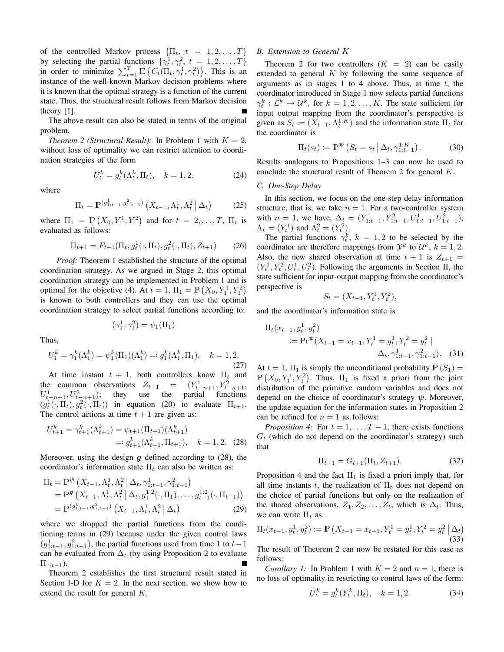of the controlled Markov process  $\{\Pi_t, t = 1, 2, ..., T\}$ by selecting the partial functions  $\{\gamma_t^1, \gamma_t^2, t = 1, 2, ..., T\}$ in order to minimize  $\sum_{t=1}^{T} \mathbb{E} \left\{ C_t(\Pi_t, \gamma_t^1, \gamma_t^2) \right\}$ . This is an instance of the well-known Markov decision problems where it is known that the optimal strategy is a function of the current state. Thus, the structural result follows from Markov decision theory [1].

The above result can also be stated in terms of the original problem.

*Theorem 2 (Structural Result):* In Problem 1 with  $K = 2$ , without loss of optimality we can restrict attention to coordination strategies of the form

$$
U_t^k = g_t^k(\Lambda_t^k, \Pi_t), \quad k = 1, 2. \tag{24}
$$

where

$$
\Pi_t = \mathbb{P}^{(g_{1:t-1}^1, g_{1:t-1}^2)}\left(X_{t-1}, \Lambda_t^1, \Lambda_t^2 \mid \Delta_t\right) \tag{25}
$$

where  $\Pi_1 = \mathbb{P}(X_0, Y_1^1, Y_1^2)$  and for  $t = 2, \dots, T$ ,  $\Pi_t$  is evaluated as follows:

$$
\Pi_{t+1} = F_{t+1}(\Pi_t, g_t^1(\cdot, \Pi_t), g_t^2(\cdot, \Pi_t), Z_{t+1})
$$
 (26)

*Proof:* Theorem 1 established the structure of the optimal coordination strategy. As we argued in Stage 2, this optimal coordination strategy can be implemented in Problem 1 and is optimal for the objective (4). At  $t = 1$ ,  $\Pi_1 = \mathbb{P}\left(X_0, Y_1^1, Y_1^2\right)$ is known to both controllers and they can use the optimal coordination strategy to select partial functions according to:

$$
(\gamma_1^1, \gamma_1^2) = \psi_1(\Pi_1)
$$

Thus,

$$
U_1^k = \gamma_1^k(\Lambda_1^k) = \psi_1^k(\Pi_1)(\Lambda_1^k) =: g_1^k(\Lambda_1^k, \Pi_1), \quad k = 1, 2.
$$
\n(27)

At time instant  $t + 1$ , both controllers know  $\Pi_t$  and the common observations  $Z_{t+1} = (Y_{t-n+1}^1, Y_{t-n+1}^2,$  $U_{t-n+1}^1, U_{t-n+1}^2$ ; they use the partial functions  $(g_t^1(\cdot, \Pi_t), g_t^2(\cdot, \Pi_t))$  in equation (20) to evaluate  $\Pi_{t+1}$ . The control actions at time  $t + 1$  are given as:

$$
U_{t+1}^k = \gamma_{t+1}^k(\Lambda_{t+1}^k) = \psi_{t+1}(\Pi_{t+1})(\Lambda_{t+1}^k)
$$
  
=:  $g_{t+1}^k(\Lambda_{t+1}^k, \Pi_{t+1}), \quad k = 1, 2.$  (28)

Moreover, using the design  $g$  defined according to (28), the coordinator's information state  $\Pi_t$  can also be written as:

$$
\Pi_{t} = \mathbb{P}^{\psi}\left(X_{t-1}, \Lambda_{t}^{1}, \Lambda_{t}^{2} \mid \Delta_{t}, \gamma_{1:t-1}^{1}, \gamma_{1:t-1}^{2}\right) \n= \mathbb{P}^{\mathcal{g}}\left(X_{t-1}, \Lambda_{t}^{1}, \Lambda_{t}^{2} \mid \Delta_{t}, g_{1}^{1:2}(\cdot, \Pi_{1}), \dots, g_{t-1}^{1:2}(\cdot, \Pi_{t-1})\right) \n= \mathbb{P}^{(g_{1:t-1}^{1}, g_{1:t-1}^{2})}\left(X_{t-1}, \Lambda_{t}^{1}, \Lambda_{t}^{2} \mid \Delta_{t}\right)
$$
\n(29)

where we dropped the partial functions from the conditioning terms in (29) because under the given control laws  $(g_{1:t-1}^1, g_{1:t-1}^2)$ , the partial functions used from time 1 to  $t-1$ can be evaluated from  $\Delta_t$  (by using Proposition 2 to evaluate  $\Pi_{1:t-1}$ ).

Theorem 2 establishes the first structural result stated in Section I-D for  $K = 2$ . In the next section, we show how to extend the result for general K.

#### *B. Extension to General* K

Theorem 2 for two controllers  $(K = 2)$  can be easily extended to general  $K$  by following the same sequence of arguments as in stages 1 to 4 above. Thus, at time  $t$ , the coordinator introduced in Stage 1 now selects partial functions  $\gamma_t^k : \mathcal{L}^k \mapsto \mathcal{U}^k$ , for  $k = 1, 2, ..., K$ . The state sufficient for input output mapping from the coordinator's perspective is given as  $S_t \coloneqq (X_{t-1}, \Lambda_t^{1:K})$  and the information state  $\Pi_t$  for the coordinator is

$$
\Pi_t(s_t) \coloneqq \mathbb{P}^\Psi \left( S_t = s_t \, \middle| \, \Delta_t, \gamma_{1:t-1}^{1:K} \right). \tag{30}
$$

Results analogous to Propositions 1–3 can now be used to conclude the structural result of Theorem 2 for general K.

## *C. One-Step Delay*

In this section, we focus on the one-step delay information structure, that is, we take  $n = 1$ . For a two-controller system with  $n = 1$ , we have,  $\Delta_t = (Y_{1:t-1}^1, Y_{1:t-1}^2, U_{1:t-1}^1, U_{1:t-1}^2)$ ,  $\Lambda_t^1 = (Y_t^1)$  and  $\Lambda_t^2 = (Y_t^2)$ .

The partial functions  $\gamma_t^k$ ,  $k = 1, 2$  to be selected by the coordinator are therefore mappings from  $\mathcal{Y}^k$  to  $\mathcal{U}^k$ ,  $k = 1, 2$ . Also, the new shared observation at time  $t + 1$  is  $Z_{t+1} =$  $(Y_t^1, Y_t^2, U_t^1, U_t^2)$ . Following the arguments in Section II, the state sufficient for input-output mapping from the coordinator's perspective is

$$
S_t = (X_{t-1}, Y_t^1, Y_t^2),
$$

and the coordinator's information state is

$$
\Pi_t(x_{t-1}, y_t^1, y_t^2)
$$
  
 :=  $\Pr^{\psi}(X_{t-1} = x_{t-1}, Y_t^1 = y_t^1, Y_t^2 = y_t^2 | \Delta_t, \gamma_{1:t-1}^1, \gamma_{1:t-1}^2)$ . (31)

At  $t = 1$ ,  $\Pi_1$  is simply the unconditional probability  $\mathbb{P}(S_1) =$  $\mathbb{P}(X_0, Y_1^1, Y_1^2)$ . Thus,  $\Pi_1$  is fixed a priori from the joint distribution of the primitive random variables and does not depend on the choice of coordinator's strategy  $\psi$ . Moreover, the update equation for the information states in Proposition 2 can be refined for  $n = 1$  as follows:

*Proposition 4:* For  $t = 1, \ldots, T-1$ , there exists functions  $G_t$  (which do not depend on the coordinator's strategy) such that

$$
\Pi_{t+1} = G_{t+1}(\Pi_t, Z_{t+1}).\tag{32}
$$

Proposition 4 and the fact  $\Pi_1$  is fixed a priori imply that, for all time instants t, the realization of  $\Pi_t$  does not depend on the choice of partial functions but only on the realization of the shared observations,  $Z_1, Z_2, \ldots, Z_t$ , which is  $\Delta_t$ . Thus, we can write  $\Pi_t$  as:

$$
\Pi_t(x_{t-1}, y_t^1, y_t^2) \coloneqq \mathbb{P}\left(X_{t-1} = x_{t-1}, Y_t^1 = y_t^1, Y_t^2 = y_t^2 \mid \Delta_t\right)
$$
\n(33)

The result of Theorem 2 can now be restated for this case as follows:

*Corollary 1:* In Problem 1 with  $K = 2$  and  $n = 1$ , there is no loss of optimality in restricting to control laws of the form:

$$
U_t^k = g_t^k(Y_t^k, \Pi_t), \quad k = 1, 2. \tag{34}
$$